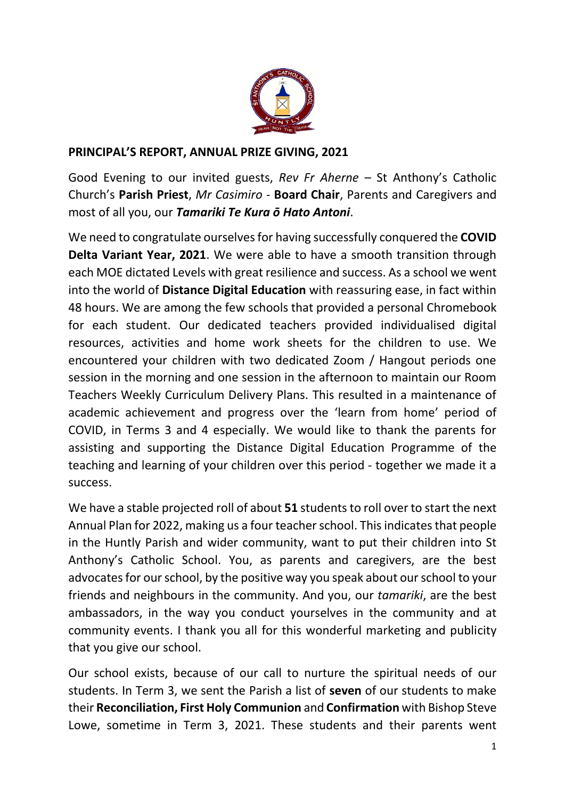

## **PRINCIPAL'S REPORT, ANNUAL PRIZE GIVING, 2021**

Good Evening to our invited guests, *Rev Fr Aherne* – St Anthony's Catholic Church's **Parish Priest**, *Mr Casimiro -* **Board Chair**, Parents and Caregivers and most of all you, our *Tamariki Te Kura ō Hato Antoni*.

We need to congratulate ourselves for having successfully conquered the **COVID Delta Variant Year, 2021**. We were able to have a smooth transition through each MOE dictated Levels with great resilience and success. As a school we went into the world of **Distance Digital Education** with reassuring ease, in fact within 48 hours. We are among the few schools that provided a personal Chromebook for each student. Our dedicated teachers provided individualised digital resources, activities and home work sheets for the children to use. We encountered your children with two dedicated Zoom / Hangout periods one session in the morning and one session in the afternoon to maintain our Room Teachers Weekly Curriculum Delivery Plans. This resulted in a maintenance of academic achievement and progress over the 'learn from home' period of COVID, in Terms 3 and 4 especially. We would like to thank the parents for assisting and supporting the Distance Digital Education Programme of the teaching and learning of your children over this period - together we made it a success.

We have a stable projected roll of about 51 students to roll over to start the next Annual Plan for 2022, making us a four teacher school. This indicates that people in the Huntly Parish and wider community, want to put their children into St Anthony's Catholic School. You, as parents and caregivers, are the best advocates for our school, by the positive way you speak about our school to your friends and neighbours in the community. And you, our *tamariki*, are the best ambassadors, in the way you conduct yourselves in the community and at community events. I thank you all for this wonderful marketing and publicity that you give our school.

Our school exists, because of our call to nurture the spiritual needs of our students. In Term 3, we sent the Parish a list of **seven** of our students to make their **Reconciliation, First Holy Communion** and **Confirmation** with Bishop Steve Lowe, sometime in Term 3, 2021. These students and their parents went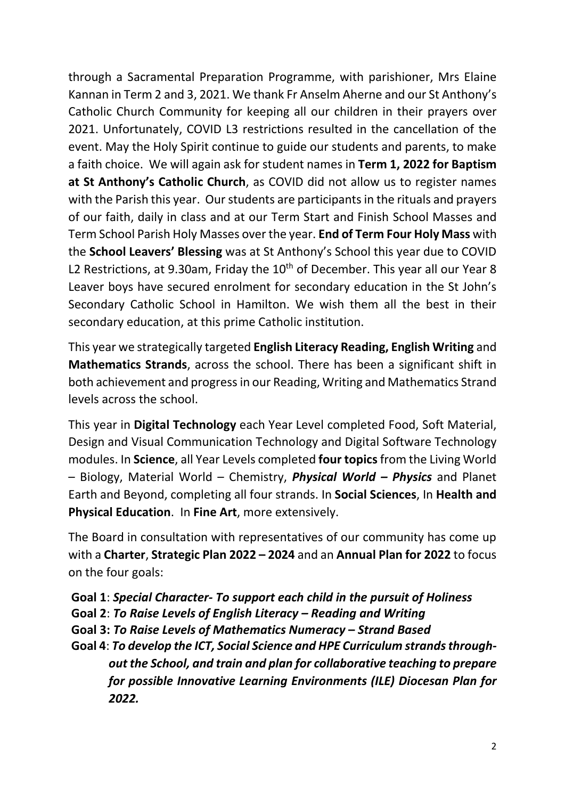through a Sacramental Preparation Programme, with parishioner, Mrs Elaine Kannan in Term 2 and 3, 2021. We thank Fr Anselm Aherne and our St Anthony's Catholic Church Community for keeping all our children in their prayers over 2021. Unfortunately, COVID L3 restrictions resulted in the cancellation of the event. May the Holy Spirit continue to guide our students and parents, to make a faith choice. We will again ask for student names in **Term 1, 2022 for Baptism at St Anthony's Catholic Church**, as COVID did not allow us to register names with the Parish this year. Our students are participants in the rituals and prayers of our faith, daily in class and at our Term Start and Finish School Masses and Term School Parish Holy Masses over the year. **End of Term Four Holy Mass** with the **School Leavers' Blessing** was at St Anthony's School this year due to COVID L2 Restrictions, at 9.30am, Friday the  $10<sup>th</sup>$  of December. This year all our Year 8 Leaver boys have secured enrolment for secondary education in the St John's Secondary Catholic School in Hamilton. We wish them all the best in their secondary education, at this prime Catholic institution.

This year we strategically targeted **English Literacy Reading, English Writing** and **Mathematics Strands**, across the school. There has been a significant shift in both achievement and progressin our Reading, Writing and Mathematics Strand levels across the school.

This year in **Digital Technology** each Year Level completed Food, Soft Material, Design and Visual Communication Technology and Digital Software Technology modules. In **Science**, all Year Levels completed **four topics**from the Living World – Biology, Material World – Chemistry, *Physical World – Physics* and Planet Earth and Beyond, completing all four strands. In **Social Sciences**, In **Health and Physical Education**. In **Fine Art**, more extensively.

The Board in consultation with representatives of our community has come up with a **Charter**, **Strategic Plan 2022 – 2024** and an **Annual Plan for 2022** to focus on the four goals:

**Goal 1**: *Special Character- To support each child in the pursuit of Holiness* **Goal 2**: *To Raise Levels of English Literacy – Reading and Writing* **Goal 3:** *To Raise Levels of Mathematics Numeracy* **–** *Strand Based* **Goal 4**: *To develop the ICT, Social Science and HPE Curriculum strands throughout the School, and train and plan for collaborative teaching to prepare for possible Innovative Learning Environments (ILE) Diocesan Plan for 2022.*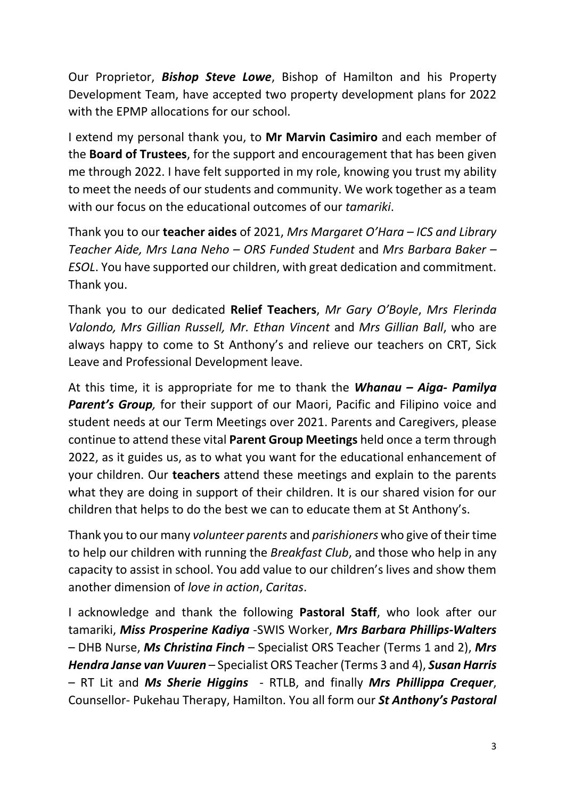Our Proprietor, *Bishop Steve Lowe*, Bishop of Hamilton and his Property Development Team, have accepted two property development plans for 2022 with the EPMP allocations for our school.

I extend my personal thank you, to **Mr Marvin Casimiro** and each member of the **Board of Trustees**, for the support and encouragement that has been given me through 2022. I have felt supported in my role, knowing you trust my ability to meet the needs of our students and community. We work together as a team with our focus on the educational outcomes of our *tamariki*.

Thank you to our **teacher aides** of 2021, *Mrs Margaret O'Hara – ICS and Library Teacher Aide, Mrs Lana Neho – ORS Funded Student* and *Mrs Barbara Baker – ESOL*. You have supported our children, with great dedication and commitment. Thank you.

Thank you to our dedicated **Relief Teachers**, *Mr Gary O'Boyle*, *Mrs Flerinda Valondo, Mrs Gillian Russell, Mr. Ethan Vincent* and *Mrs Gillian Ball*, who are always happy to come to St Anthony's and relieve our teachers on CRT, Sick Leave and Professional Development leave.

At this time, it is appropriate for me to thank the *Whanau – Aiga- Pamilya* **Parent's Group**, for their support of our Maori, Pacific and Filipino voice and student needs at our Term Meetings over 2021. Parents and Caregivers, please continue to attend these vital **Parent Group Meetings** held once a term through 2022, as it guides us, as to what you want for the educational enhancement of your children. Our **teachers** attend these meetings and explain to the parents what they are doing in support of their children. It is our shared vision for our children that helps to do the best we can to educate them at St Anthony's.

Thank you to our many *volunteer parents* and *parishioners* who give of their time to help our children with running the *Breakfast Club*, and those who help in any capacity to assist in school. You add value to our children's lives and show them another dimension of *love in action*, *Caritas*.

I acknowledge and thank the following **Pastoral Staff**, who look after our tamariki, *Miss Prosperine Kadiya* -SWIS Worker, *Mrs Barbara Phillips-Walters* – DHB Nurse, *Ms Christina Finch* – Specialist ORS Teacher (Terms 1 and 2), *Mrs Hendra Janse van Vuuren* – Specialist ORS Teacher (Terms 3 and 4), *Susan Harris* – RT Lit and *Ms Sherie Higgins* - RTLB, and finally *Mrs Phillippa Crequer*, Counsellor- Pukehau Therapy, Hamilton. You all form our *St Anthony's Pastoral*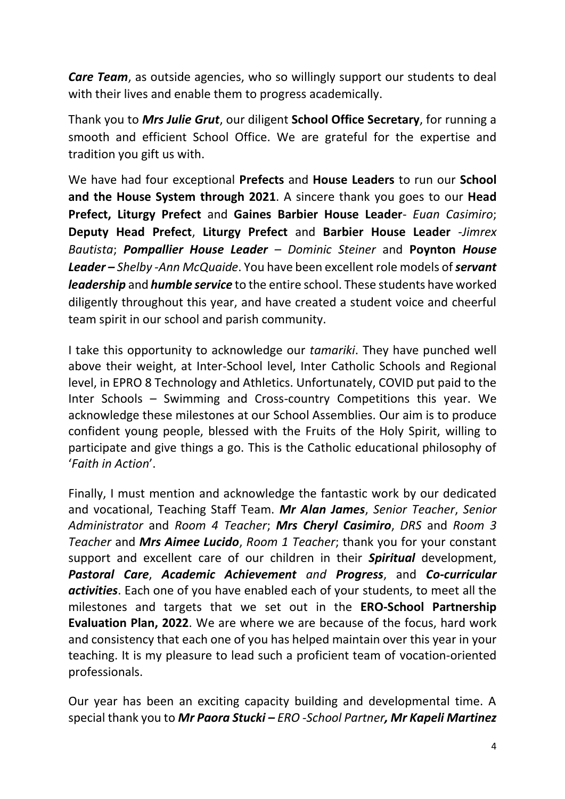*Care Team*, as outside agencies, who so willingly support our students to deal with their lives and enable them to progress academically.

Thank you to *Mrs Julie Grut*, our diligent **School Office Secretary**, for running a smooth and efficient School Office. We are grateful for the expertise and tradition you gift us with.

We have had four exceptional **Prefects** and **House Leaders** to run our **School and the House System through 2021**. A sincere thank you goes to our **Head Prefect, Liturgy Prefect** and **Gaines Barbier House Leader**- *Euan Casimiro*; **Deputy Head Prefect**, **Liturgy Prefect** and **Barbier House Leader** -*Jimrex Bautista*; *Pompallier House Leader – Dominic Steiner* and **Poynton** *House Leader – Shelby -Ann McQuaide*. You have been excellent role models of *servant leadership* and *humble service* to the entire school. These students have worked diligently throughout this year, and have created a student voice and cheerful team spirit in our school and parish community.

I take this opportunity to acknowledge our *tamariki*. They have punched well above their weight, at Inter-School level, Inter Catholic Schools and Regional level, in EPRO 8 Technology and Athletics. Unfortunately, COVID put paid to the Inter Schools – Swimming and Cross-country Competitions this year. We acknowledge these milestones at our School Assemblies. Our aim is to produce confident young people, blessed with the Fruits of the Holy Spirit, willing to participate and give things a go. This is the Catholic educational philosophy of '*Faith in Action*'.

Finally, I must mention and acknowledge the fantastic work by our dedicated and vocational, Teaching Staff Team. *Mr Alan James*, *Senior Teacher*, *Senior Administrator* and *Room 4 Teacher*; *Mrs Cheryl Casimiro*, *DRS* and *Room 3 Teacher* and *Mrs Aimee Lucido*, *Room 1 Teacher*; thank you for your constant support and excellent care of our children in their *Spiritual* development, *Pastoral Care*, *Academic Achievement and Progress*, and *Co-curricular activities*. Each one of you have enabled each of your students, to meet all the milestones and targets that we set out in the **ERO-School Partnership Evaluation Plan, 2022**. We are where we are because of the focus, hard work and consistency that each one of you has helped maintain over this year in your teaching. It is my pleasure to lead such a proficient team of vocation-oriented professionals.

Our year has been an exciting capacity building and developmental time. A special thank you to *Mr Paora Stucki – ERO -School Partner, Mr Kapeli Martinez*